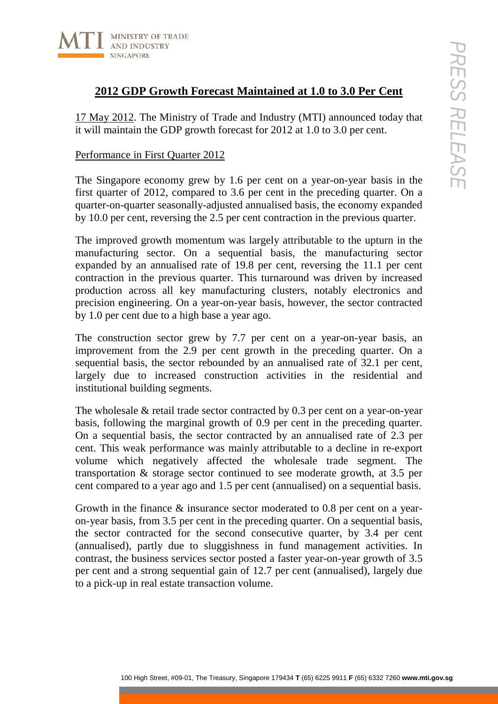

# **2012 GDP Growth Forecast Maintained at 1.0 to 3.0 Per Cent**

17 May 2012. The Ministry of Trade and Industry (MTI) announced today that it will maintain the GDP growth forecast for 2012 at 1.0 to 3.0 per cent.

## Performance in First Quarter 2012

The Singapore economy grew by 1.6 per cent on a year-on-year basis in the first quarter of 2012, compared to 3.6 per cent in the preceding quarter. On a quarter-on-quarter seasonally-adjusted annualised basis, the economy expanded by 10.0 per cent, reversing the 2.5 per cent contraction in the previous quarter.

100 Bologary<br>
100 High Street, and Industry (MTI) amnounced today that<br>
1012. The Ministry of Trade and Industry (MTI) amnounced today that<br>
nation the GDP growth forecast for 2012 at 1.0 to 3.0 per cent.<br>
ce in First Qua The improved growth momentum was largely attributable to the upturn in the manufacturing sector. On a sequential basis, the manufacturing sector expanded by an annualised rate of 19.8 per cent, reversing the 11.1 per cent contraction in the previous quarter. This turnaround was driven by increased production across all key manufacturing clusters, notably electronics and precision engineering. On a year-on-year basis, however, the sector contracted by 1.0 per cent due to a high base a year ago.

The construction sector grew by 7.7 per cent on a year-on-year basis, an improvement from the 2.9 per cent growth in the preceding quarter. On a sequential basis, the sector rebounded by an annualised rate of 32.1 per cent, largely due to increased construction activities in the residential and institutional building segments.

The wholesale & retail trade sector contracted by 0.3 per cent on a year-on-year basis, following the marginal growth of 0.9 per cent in the preceding quarter. On a sequential basis, the sector contracted by an annualised rate of 2.3 per cent. This weak performance was mainly attributable to a decline in re-export volume which negatively affected the wholesale trade segment. The transportation & storage sector continued to see moderate growth, at 3.5 per cent compared to a year ago and 1.5 per cent (annualised) on a sequential basis.

Growth in the finance & insurance sector moderated to 0.8 per cent on a yearon-year basis, from 3.5 per cent in the preceding quarter. On a sequential basis, the sector contracted for the second consecutive quarter, by 3.4 per cent (annualised), partly due to sluggishness in fund management activities. In contrast, the business services sector posted a faster year-on-year growth of 3.5 per cent and a strong sequential gain of 12.7 per cent (annualised), largely due to a pick-up in real estate transaction volume.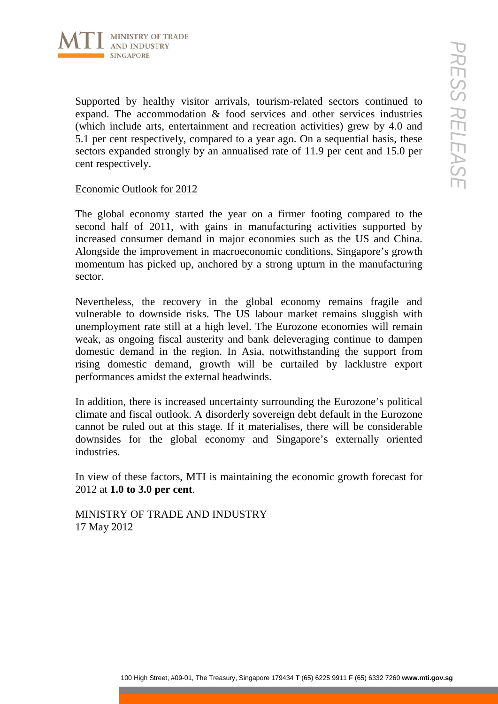

Supported by healthy visitor arrivals, tourism-related sectors continued to expand. The accommodation & food services and other services industries (which include arts, entertainment and recreation activities) grew by 4.0 and 5.1 per cent respectively, compared to a year ago. On a sequential basis, these sectors expanded strongly by an annualised rate of 11.9 per cent and 15.0 per cent respectively.

### Economic Outlook for 2012

The global economy started the year on a firmer footing compared to the second half of 2011, with gains in manufacturing activities supported by increased consumer demand in major economies such as the US and China. Alongside the improvement in macroeconomic conditions, Singapore's growth momentum has picked up, anchored by a strong upturn in the manufacturing sector.

100 Hotels, tourism related sectors continued  $\sqrt{2}$ <br>
by healthy visitor arrivatis, tourism related sectors continued on<br>
the necercular extrement and recreation activities) grew by 40 and<br>
transpectely, compared on a ye Nevertheless, the recovery in the global economy remains fragile and vulnerable to downside risks. The US labour market remains sluggish with unemployment rate still at a high level. The Eurozone economies will remain weak, as ongoing fiscal austerity and bank deleveraging continue to dampen domestic demand in the region. In Asia, notwithstanding the support from rising domestic demand, growth will be curtailed by lacklustre export performances amidst the external headwinds.

In addition, there is increased uncertainty surrounding the Eurozone's political climate and fiscal outlook. A disorderly sovereign debt default in the Eurozone cannot be ruled out at this stage. If it materialises, there will be considerable downsides for the global economy and Singapore's externally oriented industries.

In view of these factors, MTI is maintaining the economic growth forecast for 2012 at **1.0 to 3.0 per cent**.

MINISTRY OF TRADE AND INDUSTRY 17 May 2012